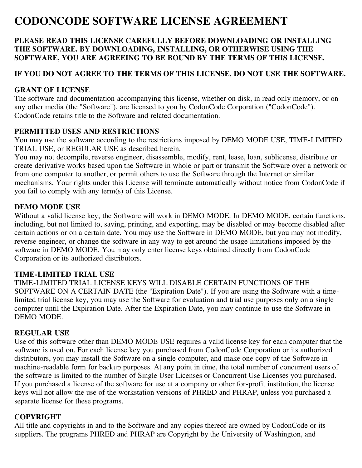# **CODONCODE SOFTWARE LICENSE AGREEMENT**

## **PLEASE READ THIS LICENSE CAREFULLY BEFORE DOWNLOADING OR INSTALLING THE SOFTWARE. BY DOWNLOADING, INSTALLING, OR OTHERWISE USING THE SOFTWARE, YOU ARE AGREEING TO BE BOUND BY THE TERMS OF THIS LICENSE.**

# **IF YOU DO NOT AGREE TO THE TERMS OF THIS LICENSE, DO NOT USE THE SOFTWARE.**

#### **GRANT OF LICENSE**

The software and documentation accompanying this license, whether on disk, in read only memory, or on any other media (the "Software"), are licensed to you by CodonCode Corporation ("CodonCode"). CodonCode retains title to the Software and related documentation.

## **PERMITTED USES AND RESTRICTIONS**

You may use the software according to the restrictions imposed by DEMO MODE USE, TIME-LIMITED TRIAL USE, or REGULAR USE as described herein.

You may not decompile, reverse engineer, disassemble, modify, rent, lease, loan, sublicense, distribute or create derivative works based upon the Software in whole or part or transmit the Software over a network or from one computer to another, or permit others to use the Software through the Internet or similar mechanisms. Your rights under this License will terminate automatically without notice from CodonCode if you fail to comply with any term(s) of this License.

#### **DEMO MODE USE**

Without a valid license key, the Software will work in DEMO MODE. In DEMO MODE, certain functions, including, but not limited to, saving, printing, and exporting, may be disabled or may become disabled after certain actions or on a certain date. You may use the Software in DEMO MODE, but you may not modify, reverse engineer, or change the software in any way to get around the usage limitations imposed by the software in DEMO MODE. You may only enter license keys obtained directly from CodonCode Corporation or its authorized distributors.

# **TIME-LIMITED TRIAL USE**

TIME-LIMITED TRIAL LICENSE KEYS WILL DISABLE CERTAIN FUNCTIONS OF THE SOFTWARE ON A CERTAIN DATE (the "Expiration Date"). If you are using the Software with a timelimited trial license key, you may use the Software for evaluation and trial use purposes only on a single computer until the Expiration Date. After the Expiration Date, you may continue to use the Software in DEMO MODE.

#### **REGULAR USE**

Use of this software other than DEMO MODE USE requires a valid license key for each computer that the software is used on. For each license key you purchased from CodonCode Corporation or its authorized distributors, you may install the Software on a single computer, and make one copy of the Software in machine-readable form for backup purposes. At any point in time, the total number of concurrent users of the software is limited to the number of Single User Licenses or Concurrent Use Licenses you purchased. If you purchased a license of the software for use at a company or other for-profit institution, the license keys will not allow the use of the workstation versions of PHRED and PHRAP, unless you purchased a separate license for these programs.

# **COPYRIGHT**

All title and copyrights in and to the Software and any copies thereof are owned by CodonCode or its suppliers. The programs PHRED and PHRAP are Copyright by the University of Washington, and